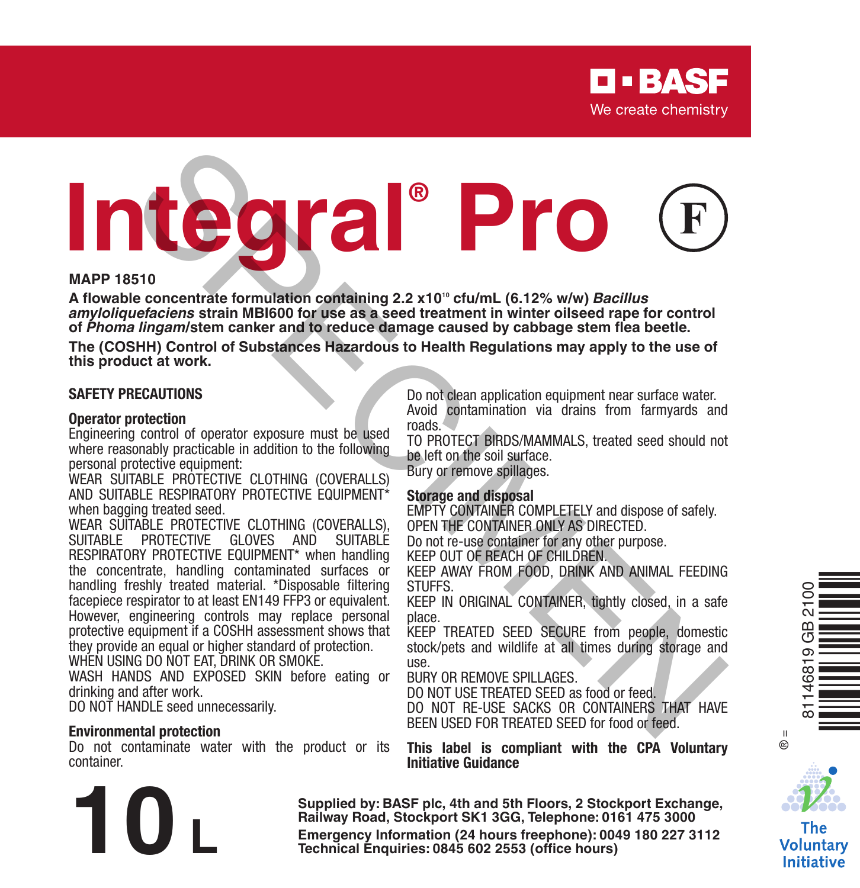# **Integral® Pro** STONE CONTRACT CONTRACT CONTRACT SUPPORT THE SEAL ON THE PROTECTIVE GALLY CONTRACT SUPPORT ON THE PROTECTIVE CONTRACT SUPPORT ON THE RELECT ON THE RELECT ON THE CONTRACT SUPPORT ON THE CONTRACT SUPPORT ON THE CONTRACT SUPP

### **MAPP 18510**

A flowable concentrate formulation containing 2.2 x10<sup>10</sup> cfu/mL (6.12% w/w) *Bacillus amyloliquefaciens* **strain MBI600 for use as a seed treatment in winter oilseed rape for control of** *Phoma lingam***/stem canker and to reduce damage caused by cabbage stem flea beetle.**

**The (COSHH) Control of Substances Hazardous to Health Regulations may apply to the use of this product at work.**

### **SAFETY PRECAUTIONS**

### **Operator protection**

Engineering control of operator exposure must be used where reasonably practicable in addition to the following personal protective equipment:

WEAR SUITABLE PROTECTIVE CLOTHING (COVERALLS) AND SUITABLE RESPIRATORY PROTECTIVE FOUR MENT\* when bagging treated seed.

WEAR SUITABLE PROTECTIVE CLOTHING (COVERALLS), SUITABLE PROTECTIVE GLOVES AND SUITABLE RESPIRATORY PROTECTIVE EQUIPMENT\* when handling the concentrate, handling contaminated surfaces or handling freshly treated material. \*Disposable filtering facepiece respirator to at least EN149 FFP3 or equivalent. However, engineering controls may replace personal protective equipment if a COSHH assessment shows that they provide an equal or higher standard of protection. WHEN USING DO NOT EAT, DRINK OR SMOKE.

WASH HANDS AND EXPOSED SKIN before eating or drinking and after work.

DO NOT HANDLE seed unnecessarily.

### **Environmental protection**

Do not contaminate water with the product or its container.

Do not clean application equipment near surface water. Avoid contamination via drains from farmyards and roads.

TO PROTECT BIRDS/MAMMALS, treated seed should not be left on the soil surface.

Bury or remove spillages.

### **Storage and disposal**

EMPTY CONTAINER COMPLETELY and dispose of safely. OPEN THE CONTAINER ONLY AS DIRECTED.

Do not re-use container for any other purpose.

KEEP OUT OF REACH OF CHILDREN.

KEEP AWAY FROM FOOD, DRINK AND ANIMAL FEEDING STUFFS.

KEEP IN ORIGINAL CONTAINER, tightly closed, in a safe place.

KEEP TREATED SEED SECURE from people, domestic stock/pets and wildlife at all times during storage and use.

BURY OR REMOVE SPILLAGES.

DO NOT USE TREATED SEED as food or feed. DO NOT RE-USE SACKS OR CONTAINERS THAT HAVE BEEN USED FOR TREATED SEED for food or feed.

**This label is compliant with the CPA Voluntary Initiative Guidance**

**Supplied by: BASF plc, 4th and 5th Floors, 2 Stockport Exchange, Railway Road, Stockport SK1 3GG, Telephone: 0161 475 3000** Emergency Information (24 hours freephone): 0049 180 227 3112<br>Technical Enquiries: 0845 602 2553 (office hours)





 $\ddot{\mathbf{e}}$ 

The Voluntary **Initiative**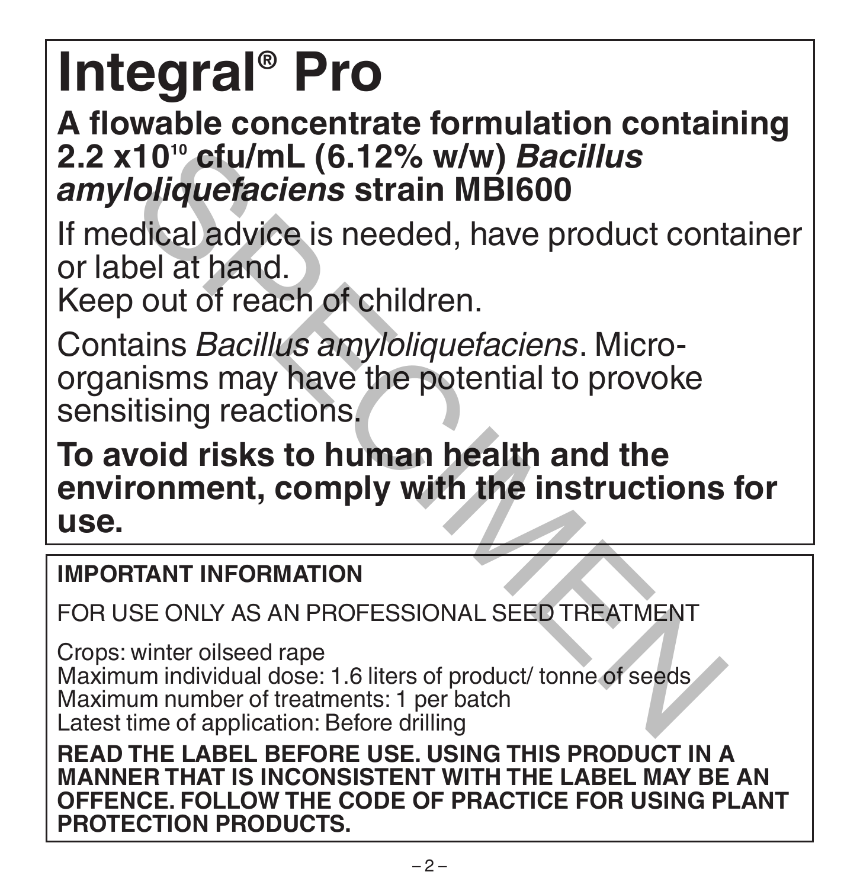# **Integral® Pro**

# **A flowable concentrate formulation containing 2.2 x1010 cfu/mL (6.12% w/w)** *Bacillus amyloliquefaciens* **strain MBI600**

If medical advice is needed, have product container or label at hand.

Keep out of reach of children.

Contains *Bacillus amyloliquefaciens*. Microorganisms may have the potential to provoke sensitising reactions.

**To avoid risks to human health and the environment, comply with the instructions for use.** (10<sup>10</sup> cfu/mL (6.12% w/w) *Bacillus*<br>
Coliquefaciens strain MBI600<br>
olical advice is needed, have product cont<br>
bel at hand.<br>
out of reach of children.<br>
ains *Bacillus amyloliquefaciens*. Micro-<br>
nisms may have the potent

## **IMPORTANT INFORMATION**

FOR USE ONLY AS AN PROFESSIONAL SEED TREATMENT

Crops: winter oilseed rape Maximum individual dose: 1.6 liters of product/ tonne of seeds Maximum number of treatments: 1 per batch Latest time of application: Before drilling

**READ THE LABEL BEFORE USE. USING THIS PRODUCT IN A MANNER THAT IS INCONSISTENT WITH THE LABEL MAY BE AN OFFENCE. FOLLOW THE CODE OF PRACTICE FOR USING PLANT PROTECTION PRODUCTS.**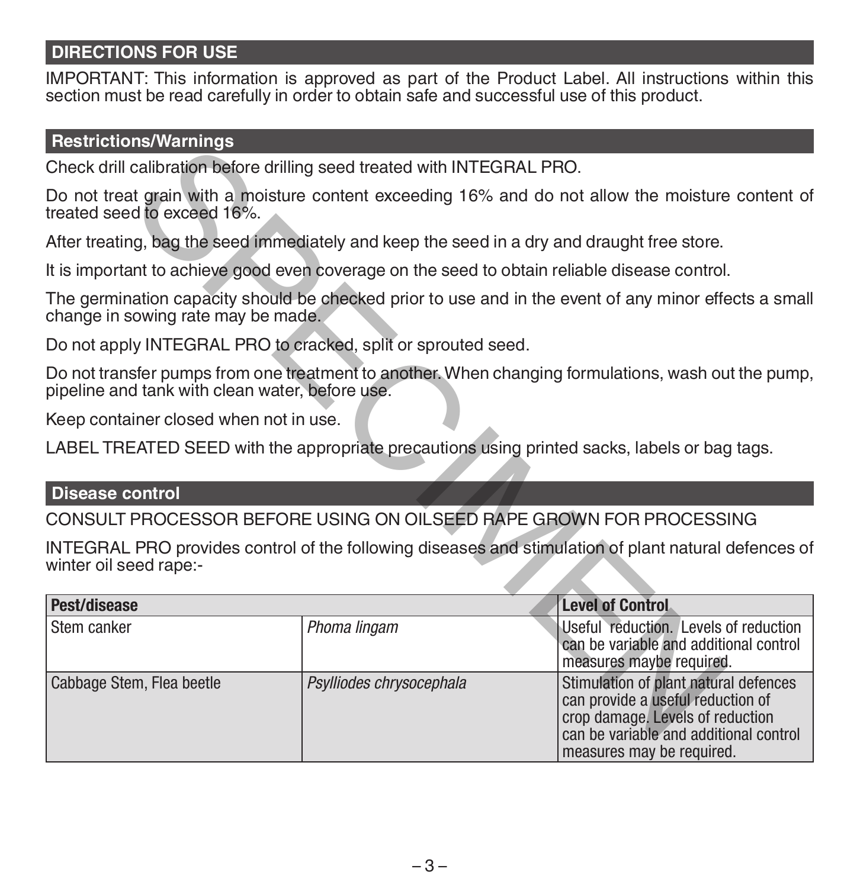### **DIRECTIONS FOR USE**

IMPORTANT: This information is approved as part of the Product Label. All instructions within this section must be read carefully in order to obtain safe and successful use of this product.

### **Restrictions/Warnings**

### **Disease control**

| <b>RESULCIONS/WALLINGS</b>                                                                    |                          |                                                                                                                                                                                       |
|-----------------------------------------------------------------------------------------------|--------------------------|---------------------------------------------------------------------------------------------------------------------------------------------------------------------------------------|
| Check drill calibration before drilling seed treated with INTEGRAL PRO.                       |                          |                                                                                                                                                                                       |
| treated seed to exceed 16%.                                                                   |                          | Do not treat grain with a moisture content exceeding 16% and do not allow the moisture content of                                                                                     |
| After treating, bag the seed immediately and keep the seed in a dry and draught free store.   |                          |                                                                                                                                                                                       |
| It is important to achieve good even coverage on the seed to obtain reliable disease control. |                          |                                                                                                                                                                                       |
| change in sowing rate may be made.                                                            |                          | The germination capacity should be checked prior to use and in the event of any minor effects a small                                                                                 |
| Do not apply INTEGRAL PRO to cracked, split or sprouted seed.                                 |                          |                                                                                                                                                                                       |
| pipeline and tank with clean water, before use.                                               |                          | Do not transfer pumps from one treatment to another. When changing formulations, wash out the pump,                                                                                   |
| Keep container closed when not in use.                                                        |                          |                                                                                                                                                                                       |
|                                                                                               |                          | LABEL TREATED SEED with the appropriate precautions using printed sacks, labels or bag tags.                                                                                          |
| Disease control                                                                               |                          |                                                                                                                                                                                       |
|                                                                                               |                          | CONSULT PROCESSOR BEFORE USING ON OILSEED RAPE GROWN FOR PROCESSING                                                                                                                   |
| winter oil seed rape:-                                                                        |                          | INTEGRAL PRO provides control of the following diseases and stimulation of plant natural defences of                                                                                  |
| Pest/disease                                                                                  |                          | <b>Level of Control</b>                                                                                                                                                               |
| Stem canker                                                                                   | Phoma lingam             | Useful reduction. Levels of reduction<br>can be variable and additional control<br>measures maybe required.                                                                           |
| Cabbage Stem, Flea beetle                                                                     | Psylliodes chrysocephala | Stimulation of plant natural defences<br>can provide a useful reduction of<br>crop damage. Levels of reduction<br>can be variable and additional control<br>measures may be required. |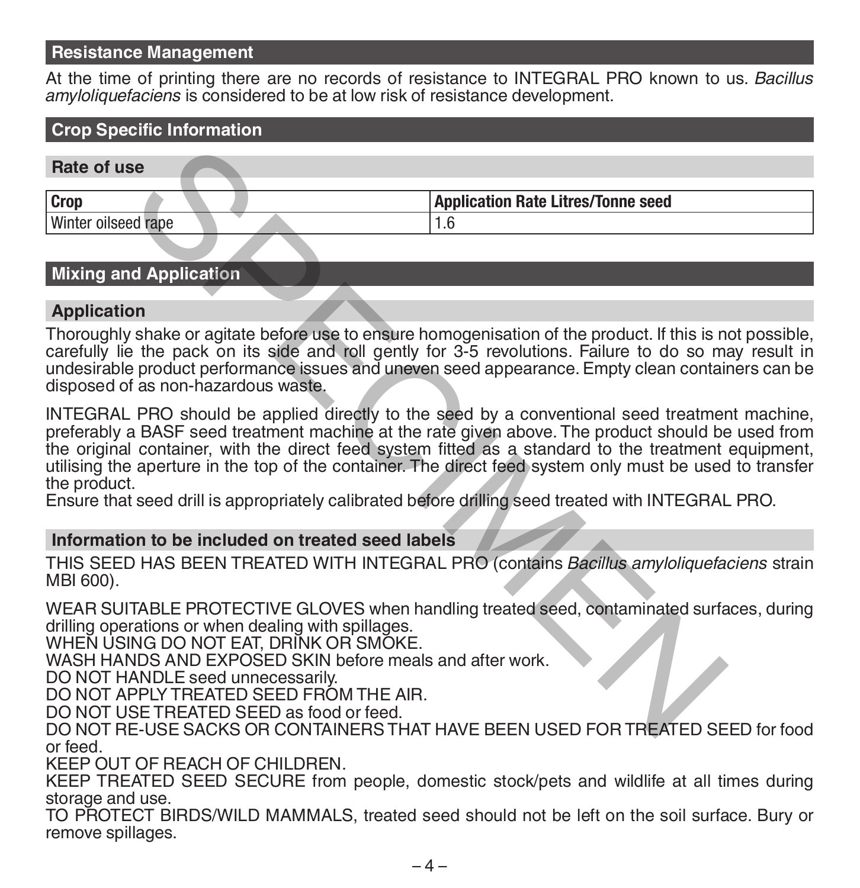### **Resistance Management**

At the time of printing there are no records of resistance to INTEGRAL PRO known to us. *Bacillus amyloliquefaciens* is considered to be at low risk of resistance development.

## **Crop Specific Information**

| Rate of use         |                                           |
|---------------------|-------------------------------------------|
| Crop                | <b>Application Rate Litres/Tonne seed</b> |
| Winter oilseed rape |                                           |

### **Mixing and Application**

### **Application**

Thoroughly shake or agitate before use to ensure homogenisation of the product. If this is not possible, carefully lie the pack on its side and roll gently for 3-5 revolutions. Failure to do so may result in undesirable product performance issues and uneven seed appearance. Empty clean containers can be disposed of as non-hazardous waste.

INTEGRAL PRO should be applied directly to the seed by a conventional seed treatment machine, preferably a BASF seed treatment machine at the rate given above. The product should be used from the original container, with the direct feed system fitted as a standard to the treatment equipment, utilising the aperture in the top of the container. The direct feed system only must be used to transfer the product. se<br>
Mapplication Rate Litres/Tonne seed<br>
1.6<br>
Application Rate Litres/Tonne seed<br>
1.6<br>
Shake or agitate before use to ensure homogenisation of the product. If this is n<br>
is the pack on its side and roll gently for 3-5 revo

Ensure that seed drill is appropriately calibrated before drilling seed treated with INTEGRAL PRO.

### **Information to be included on treated seed labels**

THIS SEED HAS BEEN TREATED WITH INTEGRAL PRO (contains *Bacillus amyloliquefaciens* strain MBI 600).

WEAR SUITABLE PROTECTIVE GLOVES when handling treated seed, contaminated surfaces, during drilling operations or when dealing with spillages.

WHEN USING DO NOT EAT, DRINK OR SMOKE.

WASH HANDS AND EXPOSED SKIN before meals and after work.

DO NOT HANDLE seed unnecessarily.

DO NOT APPLY TREATED SEED FROM THE AIR.

DO NOT USE TREATED SEED as food or feed.

DO NOT RE-USE SACKS OR CONTAINERS THAT HAVE BEEN USED FOR TREATED SEED for food or feed.

KEEP OUT OF REACH OF CHILDREN.

KEEP TREATED SEED SECURE from people, domestic stock/pets and wildlife at all times during storage and use.

TO PROTECT BIRDS/WILD MAMMALS, treated seed should not be left on the soil surface. Bury or remove spillages.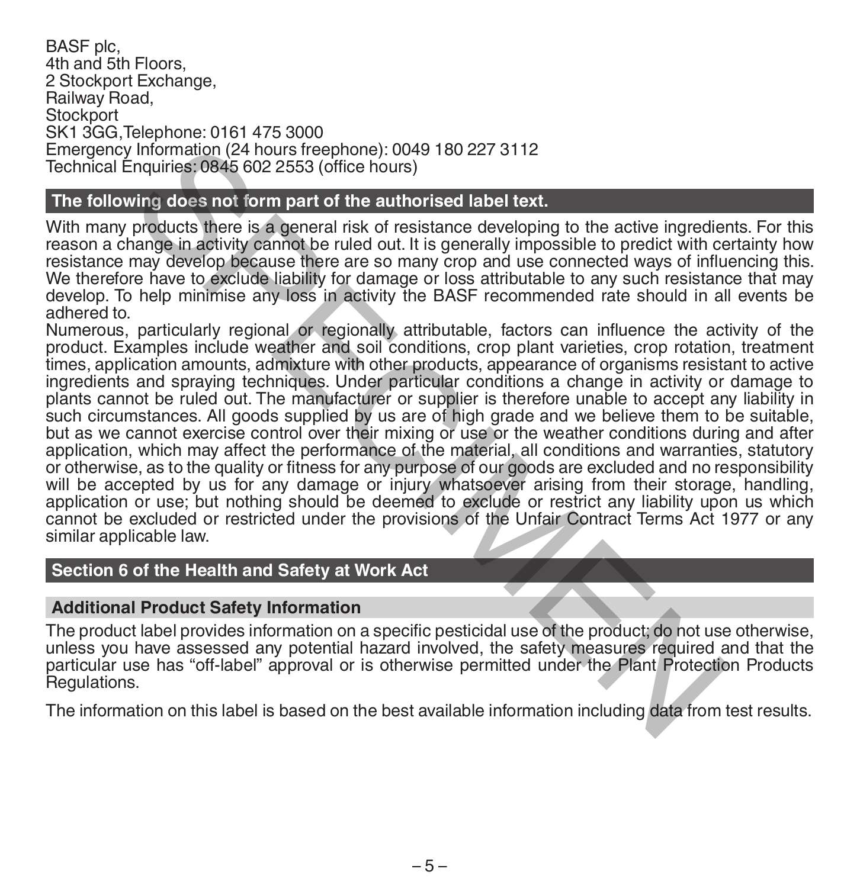BASF plc, 4th and 5th Floors, 2 Stockport Exchange, Railway Road, **Stockport** SK1 3GG,Telephone: 0161 475 3000 Emergency Information (24 hours freephone): 0049 180 227 3112 Technical Enquiries: 0845 602 2553 (office hours)

### **The following does not form part of the authorised label text.**

With many products there is a general risk of resistance developing to the active ingredients. For this reason a change in activity cannot be ruled out. It is generally impossible to predict with certainty how resistance may develop because there are so many crop and use connected ways of influencing this. We therefore have to exclude liability for damage or loss attributable to any such resistance that may develop. To help minimise any loss in activity the BASF recommended rate should in all events be adhered to.

Numerous, particularly regional or regionally attributable, factors can influence the activity of the product. Examples include weather and soil conditions, crop plant varieties, crop rotation, treatment times, application amounts, admixture with other products, appearance of organisms resistant to active ingredients and spraying techniques. Under particular conditions a change in activity or damage to plants cannot be ruled out. The manufacturer or supplier is therefore unable to accept any liability in such circumstances. All goods supplied by us are of high grade and we believe them to be suitable, but as we cannot exercise control over their mixing or use or the weather conditions during and after application, which may affect the performance of the material, all conditions and warranties, statutory or otherwise, as to the quality or fitness for any purpose of our goods are excluded and no responsibility will be accepted by us for any damage or injury whatsoever arising from their storage, handling, application or use; but nothing should be deemed to exclude or restrict any liability upon us which cannot be excluded or restricted under the provisions of the Unfair Contract Terms Act 1977 or any similar applicable law. Information (24 hours free<br>phone): 0049 180 227 3112<br>Information (24 hours free<br>phone): 0049 180 227 3112<br>wing does not form part of the authorised label text.<br>products there is a general risk of resistance developing to t

### **Section 6 of the Health and Safety at Work Act**

### **Additional Product Safety Information**

The product label provides information on a specific pesticidal use of the product; do not use otherwise, unless you have assessed any potential hazard involved, the safety measures required and that the particular use has "off-label" approval or is otherwise permitted under the Plant Protection Products Regulations.

The information on this label is based on the best available information including data from test results.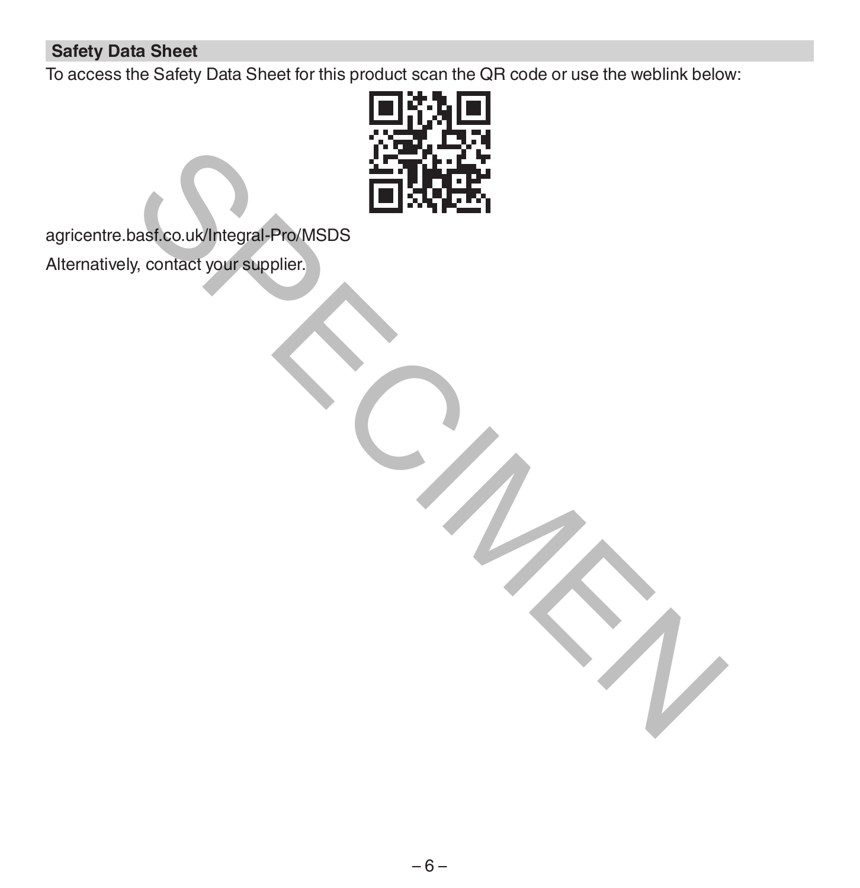### **Safety Data Sheet**

To access the Safety Data Sheet for this product scan the QR code or use the weblink below:



agricentre.basf.co.uk/Integral-Pro/MSDS

Alternatively, contact your supplier.